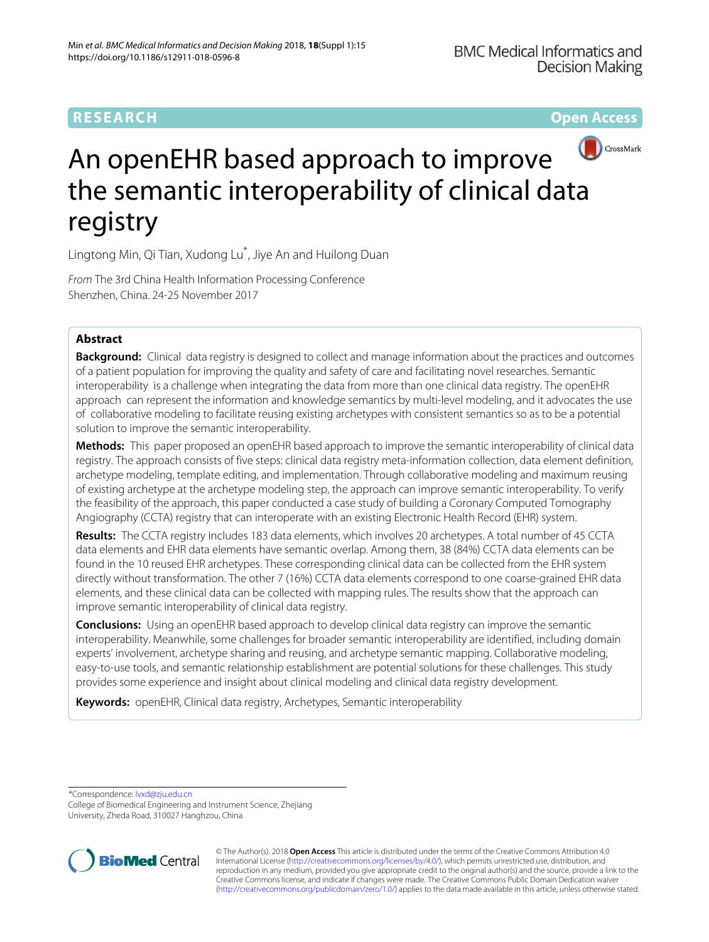# **RESEARCH Open Access**



# An openEHR based approach to improve the semantic interoperability of clinical data registry

Lingtong Min, Qi Tian, Xudong Lu\* , Jiye An and Huilong Duan

From The 3rd China Health Information Processing Conference Shenzhen, China. 24-25 November 2017

# **Abstract**

**Background:** Clinical data registry is designed to collect and manage information about the practices and outcomes of a patient population for improving the quality and safety of care and facilitating novel researches. Semantic interoperability is a challenge when integrating the data from more than one clinical data registry. The openEHR approach can represent the information and knowledge semantics by multi-level modeling, and it advocates the use of collaborative modeling to facilitate reusing existing archetypes with consistent semantics so as to be a potential solution to improve the semantic interoperability.

**Methods:** This paper proposed an openEHR based approach to improve the semantic interoperability of clinical data registry. The approach consists of five steps: clinical data registry meta-information collection, data element definition, archetype modeling, template editing, and implementation. Through collaborative modeling and maximum reusing of existing archetype at the archetype modeling step, the approach can improve semantic interoperability. To verify the feasibility of the approach, this paper conducted a case study of building a Coronary Computed Tomography Angiography (CCTA) registry that can interoperate with an existing Electronic Health Record (EHR) system.

**Results:** The CCTA registry includes 183 data elements, which involves 20 archetypes. A total number of 45 CCTA data elements and EHR data elements have semantic overlap. Among them, 38 (84%) CCTA data elements can be found in the 10 reused EHR archetypes. These corresponding clinical data can be collected from the EHR system directly without transformation. The other 7 (16%) CCTA data elements correspond to one coarse-grained EHR data elements, and these clinical data can be collected with mapping rules. The results show that the approach can improve semantic interoperability of clinical data registry.

**Conclusions:** Using an openEHR based approach to develop clinical data registry can improve the semantic interoperability. Meanwhile, some challenges for broader semantic interoperability are identified, including domain experts' involvement, archetype sharing and reusing, and archetype semantic mapping. Collaborative modeling, easy-to-use tools, and semantic relationship establishment are potential solutions for these challenges. This study provides some experience and insight about clinical modeling and clinical data registry development.

**Keywords:** openEHR, Clinical data registry, Archetypes, Semantic interoperability

\*Correspondence: [lvxd@zju.edu.cn](mailto: lvxd@zju.edu.cn)

College of Biomedical Engineering and Instrument Science, Zhejiang University, Zheda Road, 310027 Hanghzou, China



© The Author(s). 2018 **Open Access** This article is distributed under the terms of the Creative Commons Attribution 4.0 International License [\(http://creativecommons.org/licenses/by/4.0/\)](http://creativecommons.org/licenses/by/4.0/), which permits unrestricted use, distribution, and reproduction in any medium, provided you give appropriate credit to the original author(s) and the source, provide a link to the Creative Commons license, and indicate if changes were made. The Creative Commons Public Domain Dedication waiver [\(http://creativecommons.org/publicdomain/zero/1.0/\)](http://creativecommons.org/publicdomain/zero/1.0/) applies to the data made available in this article, unless otherwise stated.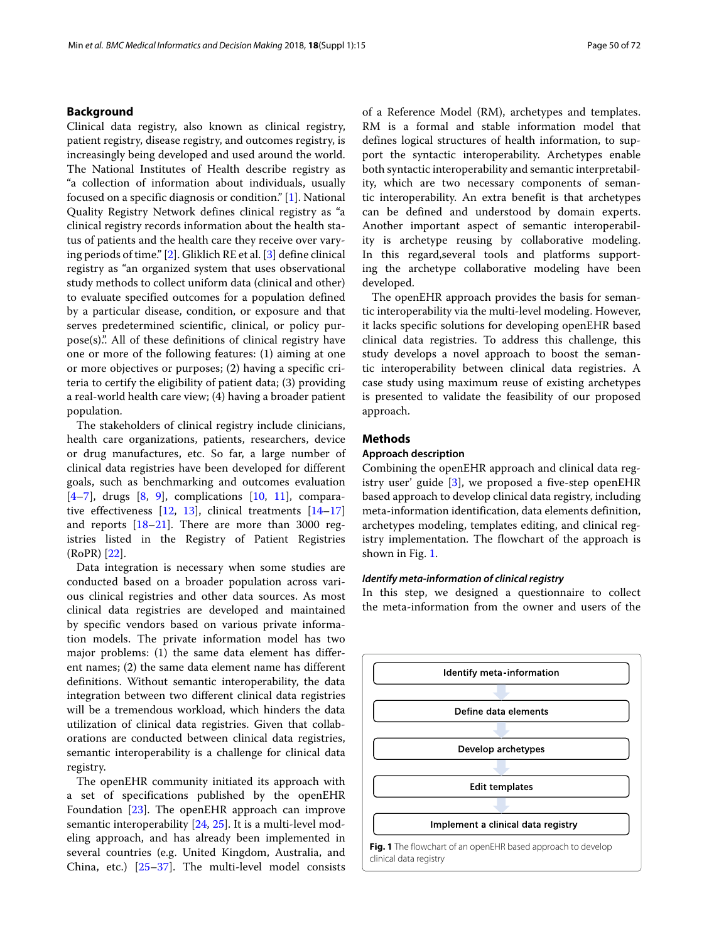# **Background**

Clinical data registry, also known as clinical registry, patient registry, disease registry, and outcomes registry, is increasingly being developed and used around the world. The National Institutes of Health describe registry as "a collection of information about individuals, usually focused on a specific diagnosis or condition." [\[1\]](#page-6-0). National Quality Registry Network defines clinical registry as "a clinical registry records information about the health status of patients and the health care they receive over varying periods of time." [\[2\]](#page-6-1). Gliklich RE et al. [\[3\]](#page-6-2) define clinical registry as "an organized system that uses observational study methods to collect uniform data (clinical and other) to evaluate specified outcomes for a population defined by a particular disease, condition, or exposure and that serves predetermined scientific, clinical, or policy purpose(s).". All of these definitions of clinical registry have one or more of the following features: (1) aiming at one or more objectives or purposes; (2) having a specific criteria to certify the eligibility of patient data; (3) providing a real-world health care view; (4) having a broader patient population.

The stakeholders of clinical registry include clinicians, health care organizations, patients, researchers, device or drug manufactures, etc. So far, a large number of clinical data registries have been developed for different goals, such as benchmarking and outcomes evaluation  $[4-7]$  $[4-7]$ , drugs  $[8, 9]$  $[8, 9]$  $[8, 9]$ , complications  $[10, 11]$  $[10, 11]$  $[10, 11]$ , comparative effectiveness  $[12, 13]$  $[12, 13]$  $[12, 13]$ , clinical treatments  $[14-17]$  $[14-17]$ and reports [\[18](#page-7-1)[–21\]](#page-7-2). There are more than 3000 registries listed in the Registry of Patient Registries (RoPR) [\[22\]](#page-7-3).

Data integration is necessary when some studies are conducted based on a broader population across various clinical registries and other data sources. As most clinical data registries are developed and maintained by specific vendors based on various private information models. The private information model has two major problems: (1) the same data element has different names; (2) the same data element name has different definitions. Without semantic interoperability, the data integration between two different clinical data registries will be a tremendous workload, which hinders the data utilization of clinical data registries. Given that collaborations are conducted between clinical data registries, semantic interoperability is a challenge for clinical data registry.

The openEHR community initiated its approach with a set of specifications published by the openEHR Foundation [\[23\]](#page-7-4). The openEHR approach can improve semantic interoperability [\[24,](#page-7-5) [25\]](#page-7-6). It is a multi-level modeling approach, and has already been implemented in several countries (e.g. United Kingdom, Australia, and China, etc.) [\[25](#page-7-6)[–37\]](#page-7-7). The multi-level model consists of a Reference Model (RM), archetypes and templates. RM is a formal and stable information model that defines logical structures of health information, to support the syntactic interoperability. Archetypes enable both syntactic interoperability and semantic interpretability, which are two necessary components of semantic interoperability. An extra benefit is that archetypes can be defined and understood by domain experts. Another important aspect of semantic interoperability is archetype reusing by collaborative modeling. In this regard,several tools and platforms supporting the archetype collaborative modeling have been developed.

The openEHR approach provides the basis for semantic interoperability via the multi-level modeling. However, it lacks specific solutions for developing openEHR based clinical data registries. To address this challenge, this study develops a novel approach to boost the semantic interoperability between clinical data registries. A case study using maximum reuse of existing archetypes is presented to validate the feasibility of our proposed approach.

# **Methods**

### **Approach description**

Combining the openEHR approach and clinical data registry user' guide [\[3\]](#page-6-2), we proposed a five-step openEHR based approach to develop clinical data registry, including meta-information identification, data elements definition, archetypes modeling, templates editing, and clinical registry implementation. The flowchart of the approach is shown in Fig. [1.](#page-1-0)

# *Identify meta-information of clinical registry*

In this step, we designed a questionnaire to collect the meta-information from the owner and users of the

<span id="page-1-0"></span>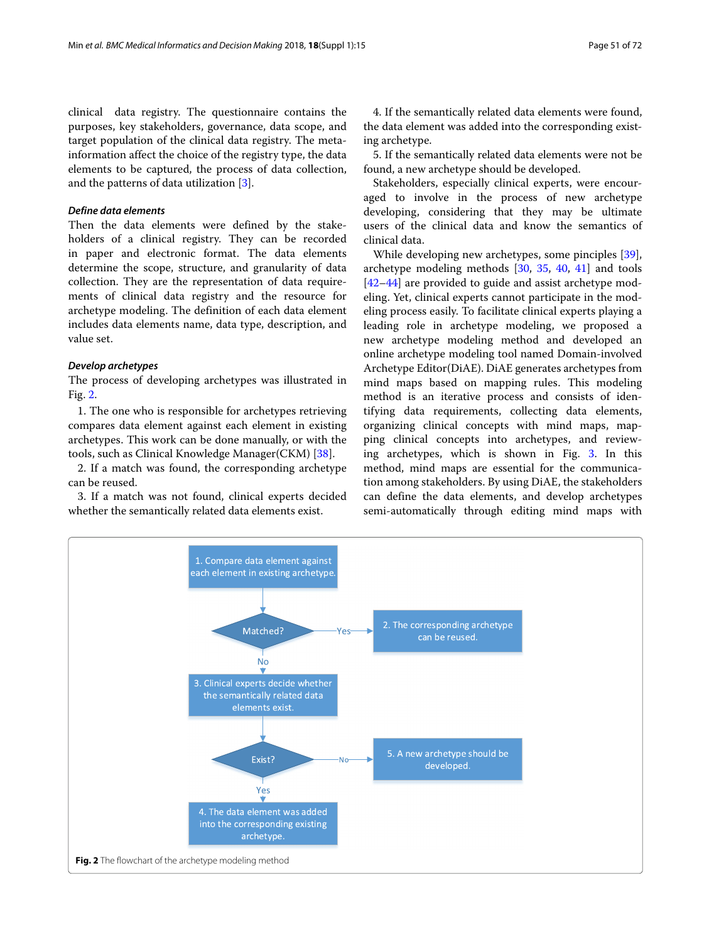clinical data registry. The questionnaire contains the purposes, key stakeholders, governance, data scope, and target population of the clinical data registry. The metainformation affect the choice of the registry type, the data elements to be captured, the process of data collection, and the patterns of data utilization [\[3\]](#page-6-2).

# *Define data elements*

Then the data elements were defined by the stakeholders of a clinical registry. They can be recorded in paper and electronic format. The data elements determine the scope, structure, and granularity of data collection. They are the representation of data requirements of clinical data registry and the resource for archetype modeling. The definition of each data element includes data elements name, data type, description, and value set.

#### *Develop archetypes*

The process of developing archetypes was illustrated in Fig. [2.](#page-2-0)

1. The one who is responsible for archetypes retrieving compares data element against each element in existing archetypes. This work can be done manually, or with the tools, such as Clinical Knowledge Manager(CKM) [\[38\]](#page-7-8).

2. If a match was found, the corresponding archetype can be reused.

3. If a match was not found, clinical experts decided whether the semantically related data elements exist.

4. If the semantically related data elements were found, the data element was added into the corresponding existing archetype.

5. If the semantically related data elements were not be found, a new archetype should be developed.

Stakeholders, especially clinical experts, were encouraged to involve in the process of new archetype developing, considering that they may be ultimate users of the clinical data and know the semantics of clinical data.

While developing new archetypes, some pinciples [\[39\]](#page-7-9), archetype modeling methods [\[30,](#page-7-10) [35,](#page-7-11) [40,](#page-7-12) [41\]](#page-7-13) and tools [\[42](#page-7-14)[–44\]](#page-7-15) are provided to guide and assist archetype modeling. Yet, clinical experts cannot participate in the modeling process easily. To facilitate clinical experts playing a leading role in archetype modeling, we proposed a new archetype modeling method and developed an online archetype modeling tool named Domain-involved Archetype Editor(DiAE). DiAE generates archetypes from mind maps based on mapping rules. This modeling method is an iterative process and consists of identifying data requirements, collecting data elements, organizing clinical concepts with mind maps, mapping clinical concepts into archetypes, and reviewing archetypes, which is shown in Fig. [3.](#page-3-0) In this method, mind maps are essential for the communication among stakeholders. By using DiAE, the stakeholders can define the data elements, and develop archetypes semi-automatically through editing mind maps with

<span id="page-2-0"></span>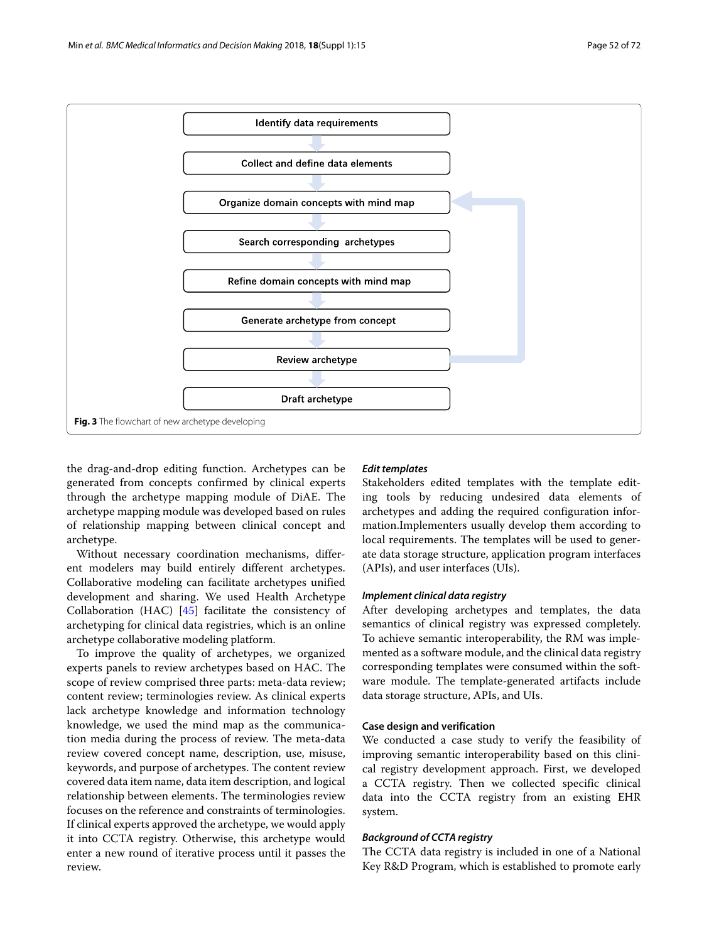

<span id="page-3-0"></span>the drag-and-drop editing function. Archetypes can be generated from concepts confirmed by clinical experts through the archetype mapping module of DiAE. The archetype mapping module was developed based on rules of relationship mapping between clinical concept and archetype.

Without necessary coordination mechanisms, different modelers may build entirely different archetypes. Collaborative modeling can facilitate archetypes unified development and sharing. We used Health Archetype Collaboration (HAC) [\[45\]](#page-7-16) facilitate the consistency of archetyping for clinical data registries, which is an online archetype collaborative modeling platform.

To improve the quality of archetypes, we organized experts panels to review archetypes based on HAC. The scope of review comprised three parts: meta-data review; content review; terminologies review. As clinical experts lack archetype knowledge and information technology knowledge, we used the mind map as the communication media during the process of review. The meta-data review covered concept name, description, use, misuse, keywords, and purpose of archetypes. The content review covered data item name, data item description, and logical relationship between elements. The terminologies review focuses on the reference and constraints of terminologies. If clinical experts approved the archetype, we would apply it into CCTA registry. Otherwise, this archetype would enter a new round of iterative process until it passes the review.

# *Edit templates*

Stakeholders edited templates with the template editing tools by reducing undesired data elements of archetypes and adding the required configuration information.Implementers usually develop them according to local requirements. The templates will be used to generate data storage structure, application program interfaces (APIs), and user interfaces (UIs).

# *Implement clinical data registry*

After developing archetypes and templates, the data semantics of clinical registry was expressed completely. To achieve semantic interoperability, the RM was implemented as a software module, and the clinical data registry corresponding templates were consumed within the software module. The template-generated artifacts include data storage structure, APIs, and UIs.

# **Case design and verification**

We conducted a case study to verify the feasibility of improving semantic interoperability based on this clinical registry development approach. First, we developed a CCTA registry. Then we collected specific clinical data into the CCTA registry from an existing EHR system.

# *Background of CCTA registry*

The CCTA data registry is included in one of a National Key R&D Program, which is established to promote early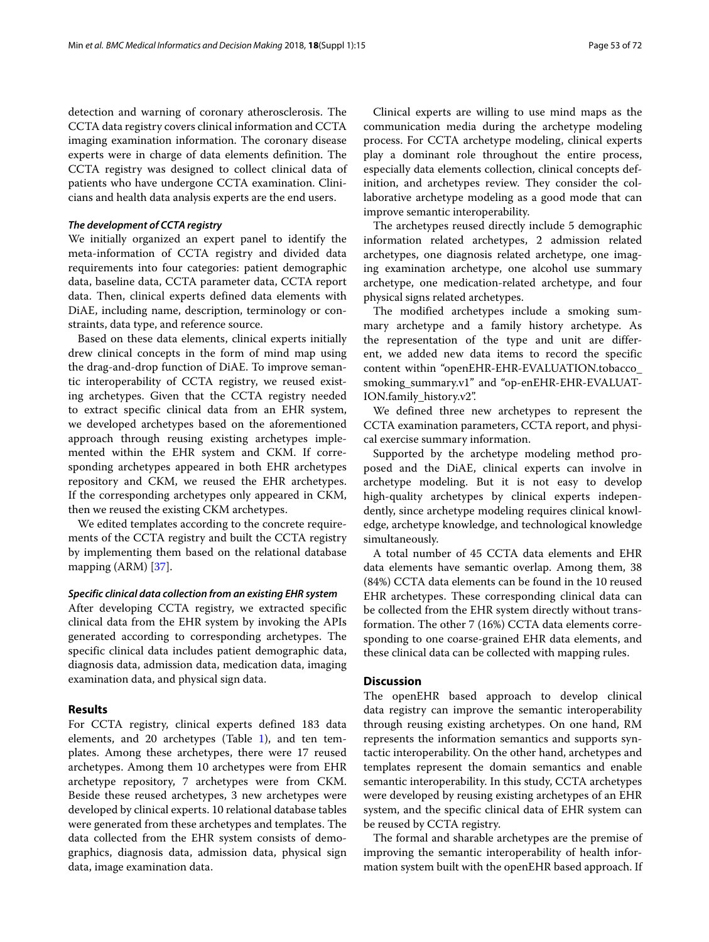detection and warning of coronary atherosclerosis. The CCTA data registry covers clinical information and CCTA imaging examination information. The coronary disease experts were in charge of data elements definition. The CCTA registry was designed to collect clinical data of patients who have undergone CCTA examination. Clinicians and health data analysis experts are the end users.

# *The development of CCTA registry*

We initially organized an expert panel to identify the meta-information of CCTA registry and divided data requirements into four categories: patient demographic data, baseline data, CCTA parameter data, CCTA report data. Then, clinical experts defined data elements with DiAE, including name, description, terminology or constraints, data type, and reference source.

Based on these data elements, clinical experts initially drew clinical concepts in the form of mind map using the drag-and-drop function of DiAE. To improve semantic interoperability of CCTA registry, we reused existing archetypes. Given that the CCTA registry needed to extract specific clinical data from an EHR system, we developed archetypes based on the aforementioned approach through reusing existing archetypes implemented within the EHR system and CKM. If corresponding archetypes appeared in both EHR archetypes repository and CKM, we reused the EHR archetypes. If the corresponding archetypes only appeared in CKM, then we reused the existing CKM archetypes.

We edited templates according to the concrete requirements of the CCTA registry and built the CCTA registry by implementing them based on the relational database mapping (ARM) [\[37\]](#page-7-7).

#### *Specific clinical data collection from an existing EHR system*

After developing CCTA registry, we extracted specific clinical data from the EHR system by invoking the APIs generated according to corresponding archetypes. The specific clinical data includes patient demographic data, diagnosis data, admission data, medication data, imaging examination data, and physical sign data.

# **Results**

For CCTA registry, clinical experts defined 183 data elements, and 20 archetypes (Table [1\)](#page-5-0), and ten templates. Among these archetypes, there were 17 reused archetypes. Among them 10 archetypes were from EHR archetype repository, 7 archetypes were from CKM. Beside these reused archetypes, 3 new archetypes were developed by clinical experts. 10 relational database tables were generated from these archetypes and templates. The data collected from the EHR system consists of demographics, diagnosis data, admission data, physical sign data, image examination data.

Clinical experts are willing to use mind maps as the communication media during the archetype modeling process. For CCTA archetype modeling, clinical experts play a dominant role throughout the entire process, especially data elements collection, clinical concepts definition, and archetypes review. They consider the collaborative archetype modeling as a good mode that can improve semantic interoperability.

The archetypes reused directly include 5 demographic information related archetypes, 2 admission related archetypes, one diagnosis related archetype, one imaging examination archetype, one alcohol use summary archetype, one medication-related archetype, and four physical signs related archetypes.

The modified archetypes include a smoking summary archetype and a family history archetype. As the representation of the type and unit are different, we added new data items to record the specific content within "openEHR-EHR-EVALUATION.tobacco\_ smoking\_summary.v1" and "op-enEHR-EHR-EVALUAT-ION.family\_history.v2".

We defined three new archetypes to represent the CCTA examination parameters, CCTA report, and physical exercise summary information.

Supported by the archetype modeling method proposed and the DiAE, clinical experts can involve in archetype modeling. But it is not easy to develop high-quality archetypes by clinical experts independently, since archetype modeling requires clinical knowledge, archetype knowledge, and technological knowledge simultaneously.

A total number of 45 CCTA data elements and EHR data elements have semantic overlap. Among them, 38 (84%) CCTA data elements can be found in the 10 reused EHR archetypes. These corresponding clinical data can be collected from the EHR system directly without transformation. The other 7 (16%) CCTA data elements corresponding to one coarse-grained EHR data elements, and these clinical data can be collected with mapping rules.

# **Discussion**

The openEHR based approach to develop clinical data registry can improve the semantic interoperability through reusing existing archetypes. On one hand, RM represents the information semantics and supports syntactic interoperability. On the other hand, archetypes and templates represent the domain semantics and enable semantic interoperability. In this study, CCTA archetypes were developed by reusing existing archetypes of an EHR system, and the specific clinical data of EHR system can be reused by CCTA registry.

The formal and sharable archetypes are the premise of improving the semantic interoperability of health information system built with the openEHR based approach. If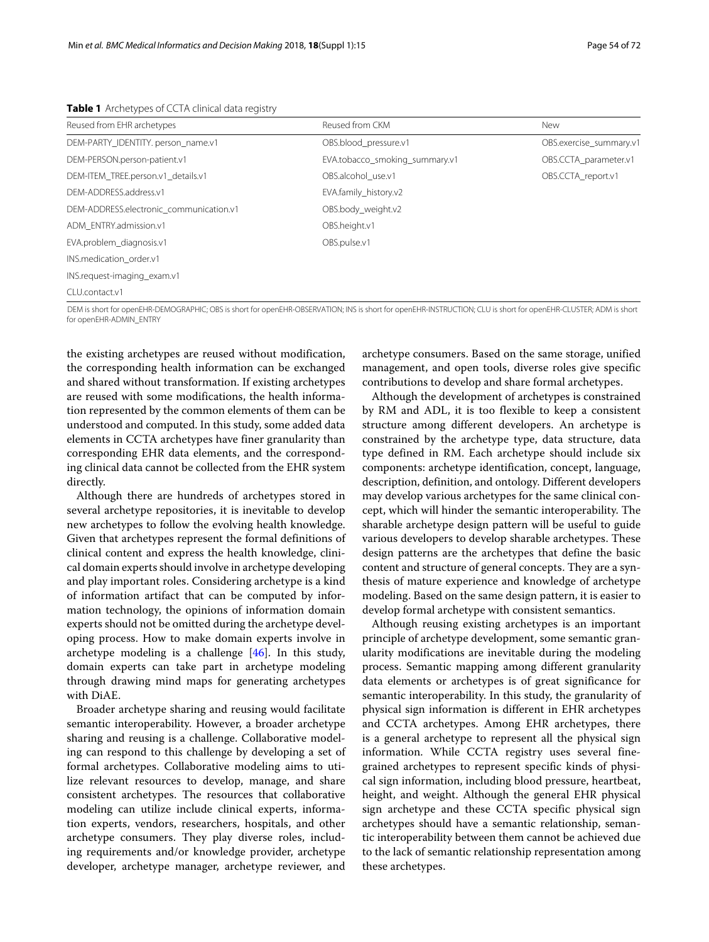<span id="page-5-0"></span>

| Reused from EHR archetypes              | Reused from CKM                                                                                                                                                                    | <b>New</b>              |
|-----------------------------------------|------------------------------------------------------------------------------------------------------------------------------------------------------------------------------------|-------------------------|
| DEM-PARTY IDENTITY person name.v1       | OBS.blood pressure.v1                                                                                                                                                              | OBS.exercise_summary.v1 |
| DEM-PERSON.person-patient.v1            | EVA.tobacco_smoking_summary.v1                                                                                                                                                     | OBS.CCTA_parameter.v1   |
| DEM-ITEM TREE.person.v1 details.v1      | OBS.alcohol use.v1                                                                                                                                                                 | OBS.CCTA report.v1      |
| DEM-ADDRESS.address.v1                  | EVA.family_history.v2                                                                                                                                                              |                         |
| DEM-ADDRESS.electronic communication.v1 | OBS.body weight.v2                                                                                                                                                                 |                         |
| ADM ENTRY.admission.v1                  | OBS.height.v1                                                                                                                                                                      |                         |
| EVA.problem_diagnosis.v1                | OBS.pulse.v1                                                                                                                                                                       |                         |
| INS.medication order.v1                 |                                                                                                                                                                                    |                         |
| INS.request-imaging_exam.v1             |                                                                                                                                                                                    |                         |
| CLU.contact.v1                          |                                                                                                                                                                                    |                         |
|                                         | DEM Is a book for a south ID DEMOCRADUIC, ORC Is a book for a specific ORCENVATION. NIC Is about for a specific INTERNATION, CULLIA about for a specific CULLICTED, A DM Is a book |                         |

**Table 1** Archetypes of CCTA clinical data registry

ODEM IS SHORT FOR SERVATION; INS IS SHORT FOR OPENEHR-INSTRUCTION; CLU is short for openEHR-CLUSTER; ADM is short for openEHR-ADMIN\_ENTRY

the existing archetypes are reused without modification, the corresponding health information can be exchanged and shared without transformation. If existing archetypes are reused with some modifications, the health information represented by the common elements of them can be understood and computed. In this study, some added data elements in CCTA archetypes have finer granularity than corresponding EHR data elements, and the corresponding clinical data cannot be collected from the EHR system directly.

Although there are hundreds of archetypes stored in several archetype repositories, it is inevitable to develop new archetypes to follow the evolving health knowledge. Given that archetypes represent the formal definitions of clinical content and express the health knowledge, clinical domain experts should involve in archetype developing and play important roles. Considering archetype is a kind of information artifact that can be computed by information technology, the opinions of information domain experts should not be omitted during the archetype developing process. How to make domain experts involve in archetype modeling is a challenge [\[46\]](#page-7-17). In this study, domain experts can take part in archetype modeling through drawing mind maps for generating archetypes with DiAE.

Broader archetype sharing and reusing would facilitate semantic interoperability. However, a broader archetype sharing and reusing is a challenge. Collaborative modeling can respond to this challenge by developing a set of formal archetypes. Collaborative modeling aims to utilize relevant resources to develop, manage, and share consistent archetypes. The resources that collaborative modeling can utilize include clinical experts, information experts, vendors, researchers, hospitals, and other archetype consumers. They play diverse roles, including requirements and/or knowledge provider, archetype developer, archetype manager, archetype reviewer, and

archetype consumers. Based on the same storage, unified management, and open tools, diverse roles give specific contributions to develop and share formal archetypes.

Although the development of archetypes is constrained by RM and ADL, it is too flexible to keep a consistent structure among different developers. An archetype is constrained by the archetype type, data structure, data type defined in RM. Each archetype should include six components: archetype identification, concept, language, description, definition, and ontology. Different developers may develop various archetypes for the same clinical concept, which will hinder the semantic interoperability. The sharable archetype design pattern will be useful to guide various developers to develop sharable archetypes. These design patterns are the archetypes that define the basic content and structure of general concepts. They are a synthesis of mature experience and knowledge of archetype modeling. Based on the same design pattern, it is easier to develop formal archetype with consistent semantics.

Although reusing existing archetypes is an important principle of archetype development, some semantic granularity modifications are inevitable during the modeling process. Semantic mapping among different granularity data elements or archetypes is of great significance for semantic interoperability. In this study, the granularity of physical sign information is different in EHR archetypes and CCTA archetypes. Among EHR archetypes, there is a general archetype to represent all the physical sign information. While CCTA registry uses several finegrained archetypes to represent specific kinds of physical sign information, including blood pressure, heartbeat, height, and weight. Although the general EHR physical sign archetype and these CCTA specific physical sign archetypes should have a semantic relationship, semantic interoperability between them cannot be achieved due to the lack of semantic relationship representation among these archetypes.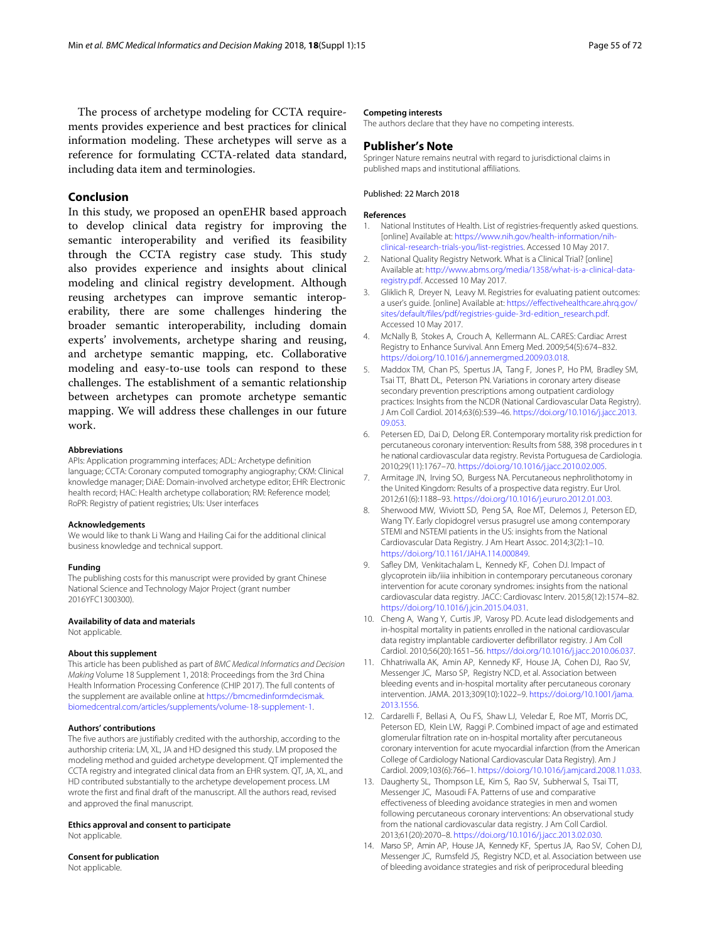The process of archetype modeling for CCTA requirements provides experience and best practices for clinical information modeling. These archetypes will serve as a reference for formulating CCTA-related data standard, including data item and terminologies.

# **Conclusion**

In this study, we proposed an openEHR based approach to develop clinical data registry for improving the semantic interoperability and verified its feasibility through the CCTA registry case study. This study also provides experience and insights about clinical modeling and clinical registry development. Although reusing archetypes can improve semantic interoperability, there are some challenges hindering the broader semantic interoperability, including domain experts' involvements, archetype sharing and reusing, and archetype semantic mapping, etc. Collaborative modeling and easy-to-use tools can respond to these challenges. The establishment of a semantic relationship between archetypes can promote archetype semantic mapping. We will address these challenges in our future work.

#### **Abbreviations**

APIs: Application programming interfaces; ADL: Archetype definition language; CCTA: Coronary computed tomography angiography; CKM: Clinical knowledge manager; DiAE: Domain-involved archetype editor; EHR: Electronic health record; HAC: Health archetype collaboration; RM: Reference model; RoPR: Registry of patient registries; UIs: User interfaces

#### **Acknowledgements**

We would like to thank Li Wang and Hailing Cai for the additional clinical business knowledge and technical support.

#### **Funding**

The publishing costs for this manuscript were provided by grant Chinese National Science and Technology Major Project (grant number 2016YFC1300300).

#### **Availability of data and materials**

Not applicable.

#### **About this supplement**

This article has been published as part of BMC Medical Informatics and Decision Making Volume 18 Supplement 1, 2018: Proceedings from the 3rd China Health Information Processing Conference (CHIP 2017). The full contents of the supplement are available online at [https://bmcmedinformdecismak.](https://bmcmedinformdecismak.biomedcentral.com/articles/supplements/volume-18-supplement-1) [biomedcentral.com/articles/supplements/volume-18-supplement-1.](https://bmcmedinformdecismak.biomedcentral.com/articles/supplements/volume-18-supplement-1)

#### **Authors' contributions**

The five authors are justifiably credited with the authorship, according to the authorship criteria: LM, XL, JA and HD designed this study. LM proposed the modeling method and guided archetype development. QT implemented the CCTA registry and integrated clinical data from an EHR system. QT, JA, XL, and HD contributed substantially to the archetype developement process. LM wrote the first and final draft of the manuscript. All the authors read, revised and approved the final manuscript.

**Ethics approval and consent to participate** Not applicable.

#### **Consent for publication**

Not applicable.

#### **Competing interests**

The authors declare that they have no competing interests.

#### **Publisher's Note**

Springer Nature remains neutral with regard to jurisdictional claims in published maps and institutional affiliations.

### Published: 22 March 2018

#### **References**

- <span id="page-6-0"></span>National Institutes of Health. List of registries-frequently asked questions. [online] Available at: [https://www.nih.gov/health-information/nih](https://www.nih.gov/health-information/nih-clinical-research-trials-you/list-registries)[clinical-research-trials-you/list-registries.](https://www.nih.gov/health-information/nih-clinical-research-trials-you/list-registries) Accessed 10 May 2017.
- <span id="page-6-1"></span>2. National Quality Registry Network. What is a Clinical Trial? [online] Available at: [http://www.abms.org/media/1358/what-is-a-clinical-data](http://www.abms.org/media/1358/what-is-a-clinical-data-registry.pdf)[registry.pdf.](http://www.abms.org/media/1358/what-is-a-clinical-data-registry.pdf) Accessed 10 May 2017.
- <span id="page-6-2"></span>3. Gliklich R, Dreyer N, Leavy M. Registries for evaluating patient outcomes: a user's guide. [online] Available at: [https://effectivehealthcare.ahrq.gov/](https://effectivehealthcare.ahrq.gov/sites/default/files/pdf/registries-guide-3rd-edition_research.pdf) [sites/default/files/pdf/registries-guide-3rd-edition\\_research.pdf.](https://effectivehealthcare.ahrq.gov/sites/default/files/pdf/registries-guide-3rd-edition_research.pdf) Accessed 10 May 2017.
- <span id="page-6-3"></span>4. McNally B, Stokes A, Crouch A, Kellermann AL. CARES: Cardiac Arrest Registry to Enhance Survival. Ann Emerg Med. 2009;54(5):674–832. [https://doi.org/10.1016/j.annemergmed.2009.03.018.](https://doi.org/10.1016/j.annemergmed.2009.03.018)
- 5. Maddox TM, Chan PS, Spertus JA, Tang F, Jones P, Ho PM, Bradley SM, Tsai TT, Bhatt DL, Peterson PN. Variations in coronary artery disease secondary prevention prescriptions among outpatient cardiology practices: Insights from the NCDR (National Cardiovascular Data Registry). J Am Coll Cardiol. 2014;63(6):539–46. [https://doi.org/10.1016/j.jacc.2013.](https://doi.org/10.1016/j.jacc.2013.09.053) [09.053.](https://doi.org/10.1016/j.jacc.2013.09.053)
- 6. Petersen ED, Dai D, Delong ER. Contemporary mortality risk prediction for percutaneous coronary intervention: Results from 588, 398 procedures in t he national cardiovascular data registry. Revista Portuguesa de Cardiologia. 2010;29(11):1767–70. [https://doi.org/10.1016/j.jacc.2010.02.005.](https://doi.org/10.1016/j.jacc.2010.02.005)
- <span id="page-6-4"></span>7. Armitage JN, Irving SO, Burgess NA. Percutaneous nephrolithotomy in the United Kingdom: Results of a prospective data registry. Eur Urol. 2012;61(6):1188–93. [https://doi.org/10.1016/j.eururo.2012.01.003.](https://doi.org/10.1016/j.eururo.2012.01.003)
- <span id="page-6-5"></span>8. Sherwood MW, Wiviott SD, Peng SA, Roe MT, Delemos J, Peterson ED, Wang TY. Early clopidogrel versus prasugrel use among contemporary STEMI and NSTEMI patients in the US: insights from the National Cardiovascular Data Registry. J Am Heart Assoc. 2014;3(2):1–10. [https://doi.org/10.1161/JAHA.114.000849.](https://doi.org/10.1161/JAHA.114.000849)
- <span id="page-6-6"></span>9. Safley DM, Venkitachalam L, Kennedy KF, Cohen DJ. Impact of glycoprotein iib/iiia inhibition in contemporary percutaneous coronary intervention for acute coronary syndromes: insights from the national cardiovascular data registry. JACC: Cardiovasc Interv. 2015;8(12):1574–82. [https://doi.org/10.1016/j.jcin.2015.04.031.](https://doi.org/10.1016/j.jcin.2015.04.031)
- <span id="page-6-7"></span>10. Cheng A, Wang Y, Curtis JP, Varosy PD. Acute lead dislodgements and in-hospital mortality in patients enrolled in the national cardiovascular data registry implantable cardioverter defibrillator registry. J Am Coll Cardiol. 2010;56(20):1651–56. [https://doi.org/10.1016/j.jacc.2010.06.037.](https://doi.org/10.1016/j.jacc.2010.06.037)
- <span id="page-6-8"></span>11. Chhatriwalla AK, Amin AP, Kennedy KF, House JA, Cohen DJ, Rao SV, Messenger JC, Marso SP, Registry NCD, et al. Association between bleeding events and in-hospital mortality after percutaneous coronary intervention. JAMA. 2013;309(10):1022–9. [https://doi.org/10.1001/jama.](https://doi.org/10.1001/jama.2013.1556) [2013.1556.](https://doi.org/10.1001/jama.2013.1556)
- <span id="page-6-9"></span>12. Cardarelli F, Bellasi A, Ou FS, Shaw LJ, Veledar E, Roe MT, Morris DC, Peterson ED, Klein LW, Raggi P. Combined impact of age and estimated glomerular filtration rate on in-hospital mortality after percutaneous coronary intervention for acute myocardial infarction (from the American College of Cardiology National Cardiovascular Data Registry). Am J Cardiol. 2009;103(6):766–1. [https://doi.org/10.1016/j.amjcard.2008.11.033.](https://doi.org/10.1016/j.amjcard.2008.11.033)
- <span id="page-6-10"></span>13. Daugherty SL, Thompson LE, Kim S, Rao SV, Subherwal S, Tsai TT, Messenger JC, Masoudi FA. Patterns of use and comparative effectiveness of bleeding avoidance strategies in men and women following percutaneous coronary interventions: An observational study from the national cardiovascular data registry. J Am Coll Cardiol. 2013;61(20):2070–8. [https://doi.org/10.1016/j.jacc.2013.02.030.](https://doi.org/10.1016/j.jacc.2013.02.030)
- <span id="page-6-11"></span>14. Marso SP, Amin AP, House JA, Kennedy KF, Spertus JA, Rao SV, Cohen DJ, Messenger JC, Rumsfeld JS, Registry NCD, et al. Association between use of bleeding avoidance strategies and risk of periprocedural bleeding